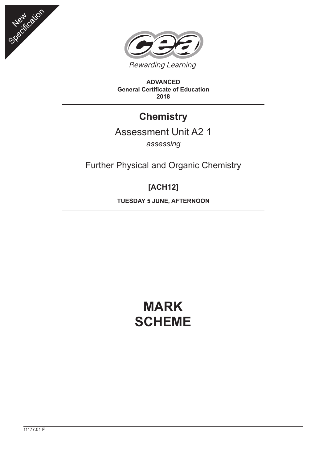



**ADVANCED General Certificate of Education 2018**

## **Chemistry**

### Assessment Unit A2 1

*assessing*

Further Physical and Organic Chemistry

### **[ACH12]**

**TUESDAY 5 JUNE, AFTERNOON**

# **MARK SCHEME**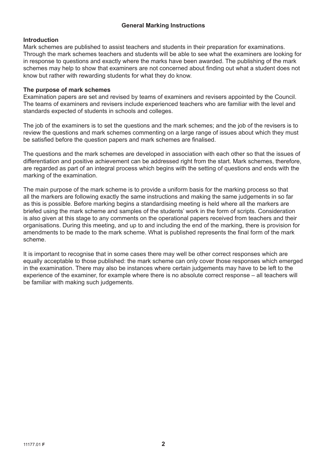#### **General Marking Instructions**

#### **Introduction**

Mark schemes are published to assist teachers and students in their preparation for examinations. Through the mark schemes teachers and students will be able to see what the examiners are looking for in response to questions and exactly where the marks have been awarded. The publishing of the mark schemes may help to show that examiners are not concerned about finding out what a student does not know but rather with rewarding students for what they do know.

#### **The purpose of mark schemes**

Examination papers are set and revised by teams of examiners and revisers appointed by the Council. The teams of examiners and revisers include experienced teachers who are familiar with the level and standards expected of students in schools and colleges.

The job of the examiners is to set the questions and the mark schemes; and the job of the revisers is to review the questions and mark schemes commenting on a large range of issues about which they must be satisfied before the question papers and mark schemes are finalised.

The questions and the mark schemes are developed in association with each other so that the issues of differentiation and positive achievement can be addressed right from the start. Mark schemes, therefore, are regarded as part of an integral process which begins with the setting of questions and ends with the marking of the examination.

The main purpose of the mark scheme is to provide a uniform basis for the marking process so that all the markers are following exactly the same instructions and making the same judgements in so far as this is possible. Before marking begins a standardising meeting is held where all the markers are briefed using the mark scheme and samples of the students' work in the form of scripts. Consideration is also given at this stage to any comments on the operational papers received from teachers and their organisations. During this meeting, and up to and including the end of the marking, there is provision for amendments to be made to the mark scheme. What is published represents the final form of the mark scheme.

It is important to recognise that in some cases there may well be other correct responses which are equally acceptable to those published: the mark scheme can only cover those responses which emerged in the examination. There may also be instances where certain judgements may have to be left to the experience of the examiner, for example where there is no absolute correct response – all teachers will be familiar with making such judgements.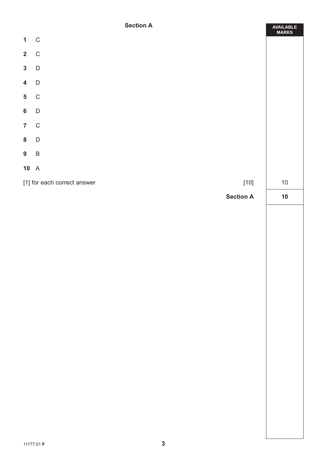#### **Section A**

|                         | <b>Section A</b>                      | AVAILABLE<br>MARKS |
|-------------------------|---------------------------------------|--------------------|
| $\mathbf{1}$            | $\mathbf C$                           |                    |
|                         | $2\quad C$                            |                    |
| $\mathbf{3}$            | D                                     |                    |
| $\overline{\mathbf{4}}$ | $\mathsf{D}$                          |                    |
| $\overline{\mathbf{5}}$ | $\mathsf C$                           |                    |
| $6\phantom{a}$          | $\mathsf D$                           |                    |
|                         | $7\quad C$                            |                    |
|                         | 8 D                                   |                    |
| $9$ B                   |                                       |                    |
| $10\quad A$             |                                       |                    |
|                         | [1] for each correct answer<br>$[10]$ | $10\,$             |
|                         | <b>Section A</b>                      | $10$               |
|                         |                                       |                    |
|                         |                                       |                    |
|                         |                                       |                    |
|                         |                                       |                    |
|                         |                                       |                    |
|                         |                                       |                    |
|                         |                                       |                    |
|                         |                                       |                    |
|                         |                                       |                    |
|                         |                                       |                    |
|                         |                                       |                    |
|                         |                                       |                    |
|                         |                                       |                    |
|                         |                                       |                    |
|                         |                                       |                    |
|                         |                                       |                    |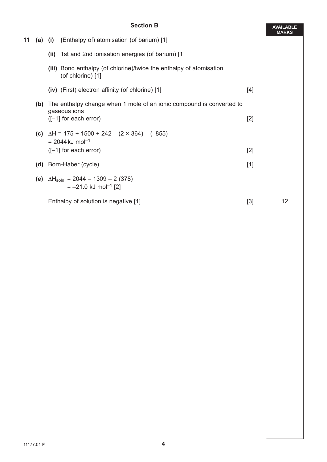|    |     | <b>Section B</b>                                                                                    |       | <b>AVAILABLE</b><br><b>MARKS</b> |
|----|-----|-----------------------------------------------------------------------------------------------------|-------|----------------------------------|
| 11 |     | (a) (i) (Enthalpy of) atomisation (of barium) [1]                                                   |       |                                  |
|    |     | (ii) 1st and 2nd ionisation energies (of barium) [1]                                                |       |                                  |
|    |     | (iii) Bond enthalpy (of chlorine)/twice the enthalpy of atomisation<br>(of chlorine) [1]            |       |                                  |
|    |     | (iv) (First) electron affinity (of chlorine) [1]                                                    | $[4]$ |                                  |
|    | (b) | The enthalpy change when 1 mole of an ionic compound is converted to<br>gaseous ions                |       |                                  |
|    |     | $([-1]$ for each error)                                                                             | $[2]$ |                                  |
|    |     | (c) $\Delta H = 175 + 1500 + 242 - (2 \times 364) - (-855)$<br>$= 2044 \text{ kJ} \text{ mol}^{-1}$ |       |                                  |
|    |     | $([-1]$ for each error)                                                                             | $[2]$ |                                  |
|    | (d) | Born-Haber (cycle)                                                                                  | $[1]$ |                                  |
|    | (e) | $\Delta H_{\text{soln}} = 2044 - 1309 - 2 (378)$<br>$= -21.0$ kJ mol <sup>-1</sup> [2]              |       |                                  |
|    |     | Enthalpy of solution is negative [1]                                                                | $[3]$ | 12                               |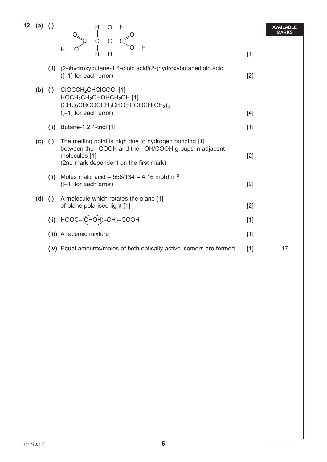| 12 | $(a)$ (i) |      | H<br>0—н<br>'Η<br>Н-                                                                                                                                                      |       | <b>AVAILABLE</b><br>MARKS |
|----|-----------|------|---------------------------------------------------------------------------------------------------------------------------------------------------------------------------|-------|---------------------------|
|    |           |      | Н<br>н                                                                                                                                                                    | $[1]$ |                           |
|    |           |      | (ii) (2-)hydroxybutane-1,4-dioic acid/(2-)hydroxybutanedioic acid<br>([-1] for each error)                                                                                | $[2]$ |                           |
|    | $(b)$ (i) |      | CIOCCH <sub>2</sub> CHCICOCI <sup>[1]</sup><br>HOCH <sub>2</sub> CH <sub>2</sub> CHOHCH <sub>2</sub> OH [1]<br>$(CH3)2CHOOCCH2CHOHCOOCH(CH3)2$                            |       |                           |
|    |           |      | ([-1] for each error)                                                                                                                                                     | $[4]$ |                           |
|    |           | (ii) | Butane-1,2,4-triol [1]                                                                                                                                                    | $[1]$ |                           |
|    | (c)       | (i)  | The melting point is high due to hydrogen bonding [1]<br>between the -COOH and the -OH/COOH groups in adjacent<br>molecules [1]<br>(2nd mark dependent on the first mark) | $[2]$ |                           |
|    |           |      | (ii) Moles malic acid = $558/134 = 4.16$ moldm <sup>-3</sup><br>$([-1]$ for each error)                                                                                   | $[2]$ |                           |
|    | $(d)$ (i) |      | A molecule which rotates the plane [1]<br>of plane polarised light [1]                                                                                                    | $[2]$ |                           |
|    |           | (ii) | $HOOC-(CHOH)-CH2-COOH$                                                                                                                                                    | $[1]$ |                           |
|    |           |      | (iii) A racemic mixture                                                                                                                                                   | $[1]$ |                           |
|    |           |      | (iv) Equal amounts/moles of both optically active isomers are formed                                                                                                      | $[1]$ | 17                        |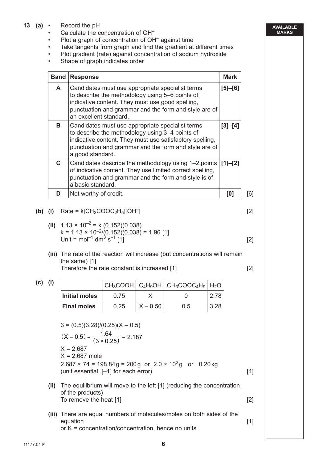- **13 (a)**  Record the pH
	- Calculate the concentration of OH–
	- Plot a graph of concentration of OH<sup>-</sup> against time
	- Take tangents from graph and find the gradient at different times
	- Plot gradient (rate) against concentration of sodium hydroxide
	- Shape of graph indicates order

| <b>Band</b> | <b>Response</b>                                                                                                                                                                                                                              | <b>Mark</b> |
|-------------|----------------------------------------------------------------------------------------------------------------------------------------------------------------------------------------------------------------------------------------------|-------------|
| A           | Candidates must use appropriate specialist terms<br>to describe the methodology using 5–6 points of<br>indicative content. They must use good spelling,<br>punctuation and grammar and the form and style are of<br>an excellent standard.   | $[5] - [6]$ |
| B.          | Candidates must use appropriate specialist terms<br>to describe the methodology using 3-4 points of<br>indicative content. They must use satisfactory spelling,<br>punctuation and grammar and the form and style are of<br>a good standard. | $[3]-[4]$   |
| C.          | Candidates describe the methodology using 1–2 points<br>of indicative content. They use limited correct spelling,<br>punctuation and grammar and the form and style is of<br>a basic standard.                                               | $  [1]-[2]$ |
|             | Not worthy of credit.                                                                                                                                                                                                                        | [0]         |

**(b)** (i) Rate = 
$$
k[CH_3COOC_2H_5][OH^-]
$$
 [2]

- **(ii)**  $1.13 \times 10^{-2} = k (0.152)(0.038)$  $k = 1.13 \times 10^{-2} / (0.152)(0.038) = 1.96$  [1] Unit = mol<sup>-1</sup> dm<sup>3</sup> s<sup>-1</sup> [1] [2]
- **(iii)** The rate of the reaction will increase (but concentrations will remain the same) [1] Therefore the rate constant is increased [1] [2]

| (c) | (i) |                    |      |            | $CH_3COOH$ $C_4H_9OH$ $CH_3COOC_4H_9$ $H_2O$ |      |
|-----|-----|--------------------|------|------------|----------------------------------------------|------|
|     |     | Initial moles      | 0.75 |            |                                              | 2.78 |
|     |     | <b>Final moles</b> | 0.25 | $X - 0.50$ | 0.5                                          | 3.28 |

$$
3 = (0.5)(3.28)/(0.25)(X - 0.5)
$$
  
\n
$$
(X - 0.5) = \frac{1.64}{(3 \times 0.25)} = 2.187
$$
  
\n
$$
X = 2.687
$$
  
\n
$$
X = 2.687
$$
  
\n
$$
X = 2.687
$$
  
\n
$$
2.687 \times 74 = 198.84g = 200g \text{ or } 2.0 \times 10^2 g \text{ or } 0.20 \text{ kg}
$$
  
\n
$$
\text{(unit essential, [-1] for each error)}
$$
\n
$$
\text{[4]}
$$
\n
$$
\text{(ii) The equilibrium will move to the left [1] (reducing the concentration of the products)}
$$
\n
$$
\text{To remove the heat [1]}
$$
\n
$$
\text{[2]}
$$

 **(iii)** There are equal numbers of molecules/moles on both sides of the equation [1] or K = concentration/concentration, hence no units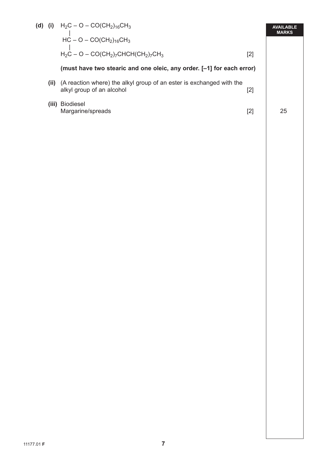|       | (d) (i) $H_2C - O - CO(CH_2)_{16}CH_3$<br>$\mathcal{L}(\mathcal{L})$<br>$HC - O - CO(CH2)16CH3$   |       | <b>AVAILABLE</b><br><b>MARKS</b> |
|-------|---------------------------------------------------------------------------------------------------|-------|----------------------------------|
|       | $H_2C - O - CO(CH_2)$ <sub>7</sub> CHCH(CH <sub>2</sub> ) <sub>7</sub> CH <sub>3</sub>            | [2]   |                                  |
|       | (must have two stearic and one oleic, any order. [-1] for each error)                             |       |                                  |
| (ii)  | (A reaction where) the alkyl group of an ester is exchanged with the<br>alkyl group of an alcohol | [2]   |                                  |
| (iii) | Biodiesel<br>Margarine/spreads                                                                    | $[2]$ | 25                               |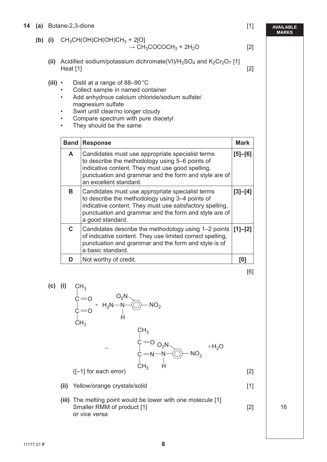- **14 (a)** Butane-2,3-dione [1]
	- **(b)** (i)  $CH_3CH(OH)CH(OH)CH_3 + 2[O]$

$$
\rightarrow CH_3COCOCH_3 + 2H_2O
$$
 [2]

- (ii) Acidified sodium/potassium dichromate(VI)/H<sub>2</sub>SO<sub>4</sub> and K<sub>2</sub>Cr<sub>2</sub>O<sub>7</sub> [1]  $\text{Heat}$  [1] [2]
- **(iii)**  Distil at a range of 88–90 °C
	- Collect sample in named container
	- Add anhydrous calcium chloride/sodium sulfate/ magnesium sulfate
	- Swirl until clear/no longer cloudy
	- Compare spectrum with pure diacetyl
	- They should be the same

| <b>Band</b> | <b>Response</b>                                                                                                                                                                                                                              | <b>Mark</b> |
|-------------|----------------------------------------------------------------------------------------------------------------------------------------------------------------------------------------------------------------------------------------------|-------------|
| A           | Candidates must use appropriate specialist terms<br>to describe the methodology using 5–6 points of<br>indicative content. They must use good spelling,<br>punctuation and grammar and the form and style are of<br>an excellent standard.   | $[5] - [6]$ |
| в           | Candidates must use appropriate specialist terms<br>to describe the methodology using 3-4 points of<br>indicative content. They must use satisfactory spelling,<br>punctuation and grammar and the form and style are of<br>a good standard. | $[3]-[4]$   |
| C.          | Candidates describe the methodology using 1–2 points<br>of indicative content. They use limited correct spelling,<br>punctuation and grammar and the form and style is of<br>a basic standard.                                               | $[1]-[2]$   |
|             | Not worthy of credit.                                                                                                                                                                                                                        | LO.         |

[6]

 **(c) (i)**  $CH<sub>3</sub>$ 

$$
c = 0
$$
\n
$$
c = 0
$$
\n
$$
C = 0
$$
\n
$$
C = 0
$$
\n
$$
C = 0
$$
\n
$$
C = 0
$$
\n
$$
C = 0
$$
\n
$$
C = 0
$$
\n
$$
C = 0
$$
\n
$$
C = 0
$$
\n
$$
C = 0
$$
\n
$$
C = 0
$$
\n
$$
C = 0
$$
\n
$$
C = 0
$$
\n
$$
C = 0
$$
\n
$$
C = 0
$$
\n
$$
C = 0
$$
\n
$$
C = 0
$$
\n
$$
C = 0
$$
\n
$$
C = 0
$$
\n
$$
C = 0
$$
\n
$$
C = 0
$$
\n
$$
C = 0
$$
\n
$$
C = 0
$$
\n
$$
C = 0
$$
\n
$$
C = 0
$$
\n
$$
C = 0
$$
\n
$$
C = 0
$$
\n
$$
C = 0
$$
\n
$$
C = 0
$$
\n
$$
C = 0
$$
\n
$$
C = 0
$$
\n
$$
C = 0
$$
\n
$$
C = 0
$$
\n
$$
C = 0
$$
\n
$$
C = 0
$$
\n
$$
C = 0
$$
\n
$$
C = 0
$$
\n
$$
C = 0
$$
\n
$$
C = 0
$$
\n
$$
C = 0
$$
\n
$$
C = 0
$$
\n
$$
C = 0
$$
\n
$$
C = 0
$$
\n
$$
C = 0
$$
\n
$$
C = 0
$$
\n
$$
C = 0
$$
\n
$$
C = 0
$$
\n
$$
C = 0
$$
\n
$$
C = 0
$$
\n
$$
C = 0
$$
\n
$$
C = 0
$$
\n
$$
C = 0
$$
\n
$$
C = 0
$$
\n
$$
C =
$$

**(ii)** Yellow/orange crystals/solid [1]

- 
- **(iii)** The melting point would be lower with one molecule [1] Smaller RMM of product [1] [2] 16 or vice versa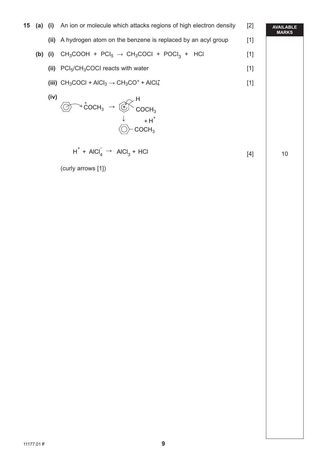| 15 |           | $(a)$ $(i)$ | An ion or molecule which attacks regions of high electron density                                                                               | $[2]$ | <b>AVAILABLE</b><br><b>MARKS</b> |
|----|-----------|-------------|-------------------------------------------------------------------------------------------------------------------------------------------------|-------|----------------------------------|
|    |           | (ii)        | A hydrogen atom on the benzene is replaced by an acyl group                                                                                     | $[1]$ |                                  |
|    | $(b)$ (i) |             | $CH_3COOH + PCl_5 \rightarrow CH_3COCl + POCl_3 + HCl$                                                                                          | $[1]$ |                                  |
|    |           | (ii)        | $PCI5/CH3COCI$ reacts with water                                                                                                                | $[1]$ |                                  |
|    |           |             | (iii) $CH_3COCl + A[Cl_3 \rightarrow CH_3CO^+ + A[Cl_4^-]$                                                                                      | $[1]$ |                                  |
|    |           | (iv)        | $\textcircled{3}$ <sup>-3</sup> coch <sub>3</sub> $\rightarrow$ $\textcircled{4}$ <sup>H</sup> coch <sub>3</sub><br>$+H^+$<br>COCH <sub>3</sub> |       |                                  |
|    |           |             | $H^+$ + AICI <sub>4</sub> $\rightarrow$ AICI <sub>3</sub> + HCI                                                                                 | $[4]$ | 10                               |
|    |           |             | (curly arrows [1])                                                                                                                              |       |                                  |